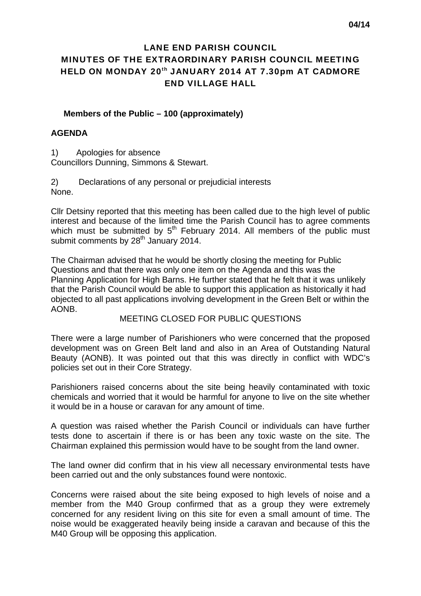# LANE END PARISH COUNCIL MINUTES OF THE EXTRAORDINARY PARISH COUNCIL MEETING HELD ON MONDAY 20<sup>th</sup> JANUARY 2014 AT 7.30pm AT CADMORE END VILLAGE HALL

### **Members of the Public – 100 (approximately)**

#### **AGENDA**

1) Apologies for absence Councillors Dunning, Simmons & Stewart.

2) Declarations of any personal or prejudicial interests None.

Cllr Detsiny reported that this meeting has been called due to the high level of public interest and because of the limited time the Parish Council has to agree comments which must be submitted by  $5<sup>th</sup>$  February 2014. All members of the public must submit comments by 28<sup>th</sup> January 2014.

The Chairman advised that he would be shortly closing the meeting for Public Questions and that there was only one item on the Agenda and this was the Planning Application for High Barns. He further stated that he felt that it was unlikely that the Parish Council would be able to support this application as historically it had objected to all past applications involving development in the Green Belt or within the AONB.

#### MEETING CLOSED FOR PUBLIC QUESTIONS

There were a large number of Parishioners who were concerned that the proposed development was on Green Belt land and also in an Area of Outstanding Natural Beauty (AONB). It was pointed out that this was directly in conflict with WDC's policies set out in their Core Strategy.

Parishioners raised concerns about the site being heavily contaminated with toxic chemicals and worried that it would be harmful for anyone to live on the site whether it would be in a house or caravan for any amount of time.

A question was raised whether the Parish Council or individuals can have further tests done to ascertain if there is or has been any toxic waste on the site. The Chairman explained this permission would have to be sought from the land owner.

The land owner did confirm that in his view all necessary environmental tests have been carried out and the only substances found were nontoxic.

Concerns were raised about the site being exposed to high levels of noise and a member from the M40 Group confirmed that as a group they were extremely concerned for any resident living on this site for even a small amount of time. The noise would be exaggerated heavily being inside a caravan and because of this the M40 Group will be opposing this application.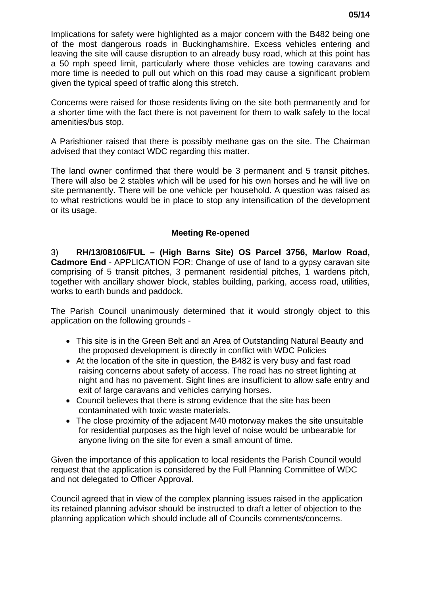Implications for safety were highlighted as a major concern with the B482 being one of the most dangerous roads in Buckinghamshire. Excess vehicles entering and leaving the site will cause disruption to an already busy road, which at this point has a 50 mph speed limit, particularly where those vehicles are towing caravans and more time is needed to pull out which on this road may cause a significant problem given the typical speed of traffic along this stretch.

Concerns were raised for those residents living on the site both permanently and for a shorter time with the fact there is not pavement for them to walk safely to the local amenities/bus stop.

A Parishioner raised that there is possibly methane gas on the site. The Chairman advised that they contact WDC regarding this matter.

The land owner confirmed that there would be 3 permanent and 5 transit pitches. There will also be 2 stables which will be used for his own horses and he will live on site permanently. There will be one vehicle per household. A question was raised as to what restrictions would be in place to stop any intensification of the development or its usage.

## **Meeting Re-opened**

3) **RH/13/08106/FUL – (High Barns Site) OS Parcel 3756, Marlow Road, Cadmore End** - APPLICATION FOR: Change of use of land to a gypsy caravan site comprising of 5 transit pitches, 3 permanent residential pitches, 1 wardens pitch, together with ancillary shower block, stables building, parking, access road, utilities, works to earth bunds and paddock.

The Parish Council unanimously determined that it would strongly object to this application on the following grounds -

- This site is in the Green Belt and an Area of Outstanding Natural Beauty and the proposed development is directly in conflict with WDC Policies
- At the location of the site in question, the B482 is very busy and fast road raising concerns about safety of access. The road has no street lighting at night and has no pavement. Sight lines are insufficient to allow safe entry and exit of large caravans and vehicles carrying horses.
- Council believes that there is strong evidence that the site has been contaminated with toxic waste materials.
- The close proximity of the adjacent M40 motorway makes the site unsuitable for residential purposes as the high level of noise would be unbearable for anyone living on the site for even a small amount of time.

Given the importance of this application to local residents the Parish Council would request that the application is considered by the Full Planning Committee of WDC and not delegated to Officer Approval.

Council agreed that in view of the complex planning issues raised in the application its retained planning advisor should be instructed to draft a letter of objection to the planning application which should include all of Councils comments/concerns.